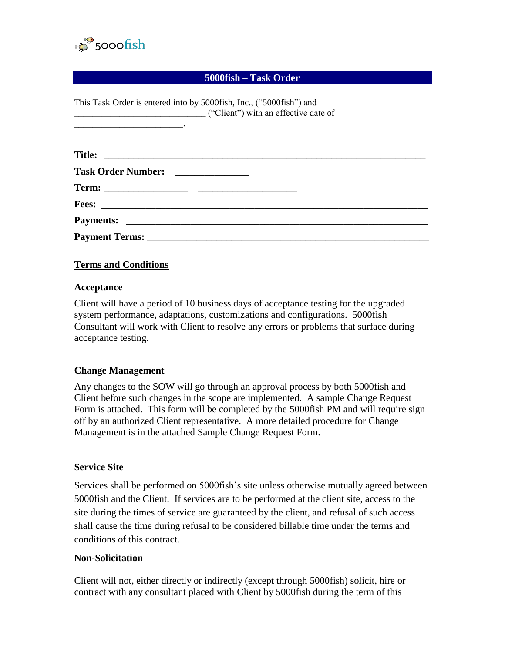

#### **5000fish – Task Order**

| This Task Order is entered into by 5000fish, Inc., ("5000fish") and |  |
|---------------------------------------------------------------------|--|
| ("Client") with an effective date of                                |  |
|                                                                     |  |
|                                                                     |  |
|                                                                     |  |
|                                                                     |  |
|                                                                     |  |
|                                                                     |  |
|                                                                     |  |

#### **Terms and Conditions**

#### **Acceptance**

Client will have a period of 10 business days of acceptance testing for the upgraded system performance, adaptations, customizations and configurations. 5000fish Consultant will work with Client to resolve any errors or problems that surface during acceptance testing.

#### **Change Management**

Any changes to the SOW will go through an approval process by both 5000fish and Client before such changes in the scope are implemented. A sample Change Request Form is attached. This form will be completed by the 5000fish PM and will require sign off by an authorized Client representative. A more detailed procedure for Change Management is in the attached Sample Change Request Form.

#### **Service Site**

Services shall be performed on 5000fish's site unless otherwise mutually agreed between 5000fish and the Client. If services are to be performed at the client site, access to the site during the times of service are guaranteed by the client, and refusal of such access shall cause the time during refusal to be considered billable time under the terms and conditions of this contract.

#### **Non-Solicitation**

Client will not, either directly or indirectly (except through 5000fish) solicit, hire or contract with any consultant placed with Client by 5000fish during the term of this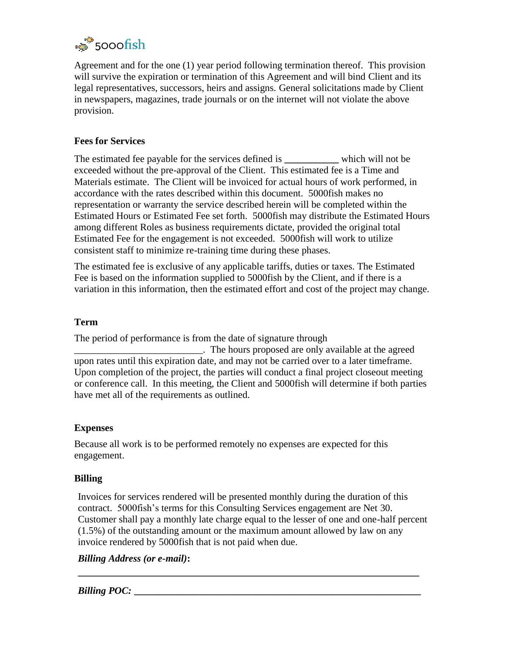

Agreement and for the one (1) year period following termination thereof. This provision will survive the expiration or termination of this Agreement and will bind Client and its legal representatives, successors, heirs and assigns. General solicitations made by Client in newspapers, magazines, trade journals or on the internet will not violate the above provision.

#### **Fees for Services**

The estimated fee payable for the services defined is **\_\_\_\_\_\_\_\_\_\_\_** which will not be exceeded without the pre-approval of the Client. This estimated fee is a Time and Materials estimate. The Client will be invoiced for actual hours of work performed, in accordance with the rates described within this document. 5000fish makes no representation or warranty the service described herein will be completed within the Estimated Hours or Estimated Fee set forth. 5000fish may distribute the Estimated Hours among different Roles as business requirements dictate, provided the original total Estimated Fee for the engagement is not exceeded. 5000fish will work to utilize consistent staff to minimize re-training time during these phases.

The estimated fee is exclusive of any applicable tariffs, duties or taxes. The Estimated Fee is based on the information supplied to 5000fish by the Client, and if there is a variation in this information, then the estimated effort and cost of the project may change.

## **Term**

The period of performance is from the date of signature through

\_\_\_\_\_\_\_\_\_\_\_\_\_\_\_\_\_\_\_\_\_\_\_\_\_\_. The hours proposed are only available at the agreed upon rates until this expiration date, and may not be carried over to a later timeframe. Upon completion of the project, the parties will conduct a final project closeout meeting or conference call. In this meeting, the Client and 5000fish will determine if both parties have met all of the requirements as outlined.

#### **Expenses**

Because all work is to be performed remotely no expenses are expected for this engagement.

#### **Billing**

Invoices for services rendered will be presented monthly during the duration of this contract. 5000fish's terms for this Consulting Services engagement are Net 30. Customer shall pay a monthly late charge equal to the lesser of one and one-half percent (1.5%) of the outstanding amount or the maximum amount allowed by law on any invoice rendered by 5000fish that is not paid when due.

**\_\_\_\_\_\_\_\_\_\_\_\_\_\_\_\_\_\_\_\_\_\_\_\_\_\_\_\_\_\_\_\_\_\_\_\_\_\_\_\_\_\_\_\_\_\_\_\_\_\_\_\_\_\_\_\_\_\_\_\_\_\_\_\_\_\_\_\_\_**

#### *Billing Address (or e-mail)***:**

*Billing POC:*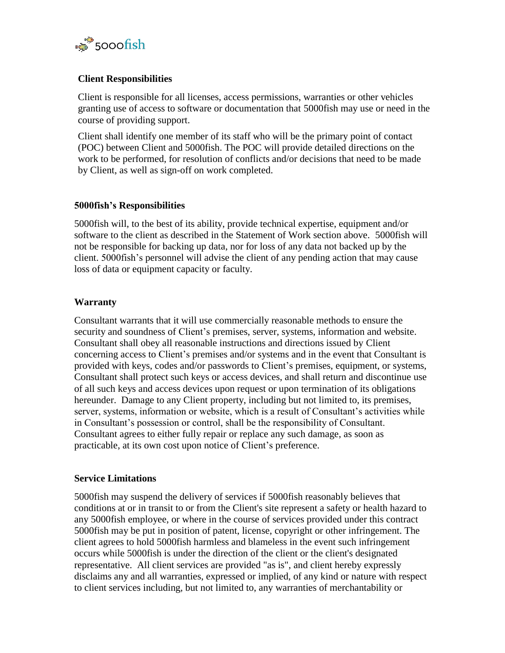

#### **Client Responsibilities**

Client is responsible for all licenses, access permissions, warranties or other vehicles granting use of access to software or documentation that 5000fish may use or need in the course of providing support.

Client shall identify one member of its staff who will be the primary point of contact (POC) between Client and 5000fish. The POC will provide detailed directions on the work to be performed, for resolution of conflicts and/or decisions that need to be made by Client, as well as sign-off on work completed.

#### **5000fish's Responsibilities**

5000fish will, to the best of its ability, provide technical expertise, equipment and/or software to the client as described in the Statement of Work section above. 5000fish will not be responsible for backing up data, nor for loss of any data not backed up by the client. 5000fish's personnel will advise the client of any pending action that may cause loss of data or equipment capacity or faculty.

#### **Warranty**

Consultant warrants that it will use commercially reasonable methods to ensure the security and soundness of Client's premises, server, systems, information and website. Consultant shall obey all reasonable instructions and directions issued by Client concerning access to Client's premises and/or systems and in the event that Consultant is provided with keys, codes and/or passwords to Client's premises, equipment, or systems, Consultant shall protect such keys or access devices, and shall return and discontinue use of all such keys and access devices upon request or upon termination of its obligations hereunder. Damage to any Client property, including but not limited to, its premises, server, systems, information or website, which is a result of Consultant's activities while in Consultant's possession or control, shall be the responsibility of Consultant. Consultant agrees to either fully repair or replace any such damage, as soon as practicable, at its own cost upon notice of Client's preference.

#### **Service Limitations**

5000fish may suspend the delivery of services if 5000fish reasonably believes that conditions at or in transit to or from the Client's site represent a safety or health hazard to any 5000fish employee, or where in the course of services provided under this contract 5000fish may be put in position of patent, license, copyright or other infringement. The client agrees to hold 5000fish harmless and blameless in the event such infringement occurs while 5000fish is under the direction of the client or the client's designated representative. All client services are provided "as is", and client hereby expressly disclaims any and all warranties, expressed or implied, of any kind or nature with respect to client services including, but not limited to, any warranties of merchantability or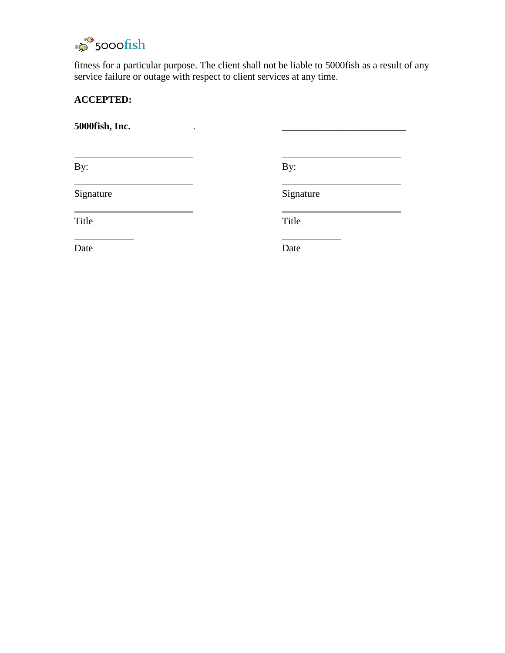

fitness for a particular purpose. The client shall not be liable to 5000fish as a result of any service failure or outage with respect to client services at any time.

# **ACCEPTED:**

**5000fish, Inc.** . \_\_\_\_\_\_\_\_\_\_\_\_\_\_\_\_\_\_\_\_\_\_\_\_\_

By: By:

Signature Signature Signature

Title Title

Date Date Date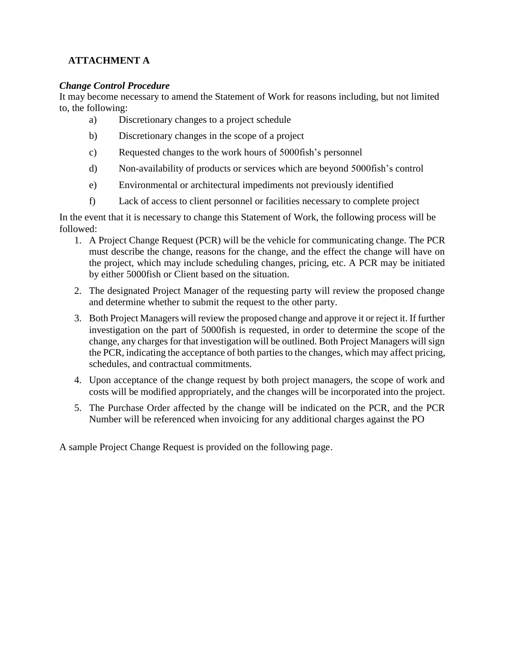# **ATTACHMENT A**

## *Change Control Procedure*

It may become necessary to amend the Statement of Work for reasons including, but not limited to, the following:

- a) Discretionary changes to a project schedule
- b) Discretionary changes in the scope of a project
- c) Requested changes to the work hours of 5000fish's personnel
- d) Non-availability of products or services which are beyond 5000fish's control
- e) Environmental or architectural impediments not previously identified
- f) Lack of access to client personnel or facilities necessary to complete project

In the event that it is necessary to change this Statement of Work, the following process will be followed:

- 1. A Project Change Request (PCR) will be the vehicle for communicating change. The PCR must describe the change, reasons for the change, and the effect the change will have on the project, which may include scheduling changes, pricing, etc. A PCR may be initiated by either 5000fish or Client based on the situation.
- 2. The designated Project Manager of the requesting party will review the proposed change and determine whether to submit the request to the other party.
- 3. Both Project Managers will review the proposed change and approve it or reject it. If further investigation on the part of 5000fish is requested, in order to determine the scope of the change, any charges for that investigation will be outlined. Both Project Managers will sign the PCR, indicating the acceptance of both parties to the changes, which may affect pricing, schedules, and contractual commitments.
- 4. Upon acceptance of the change request by both project managers, the scope of work and costs will be modified appropriately, and the changes will be incorporated into the project.
- 5. The Purchase Order affected by the change will be indicated on the PCR, and the PCR Number will be referenced when invoicing for any additional charges against the PO

A sample Project Change Request is provided on the following page.